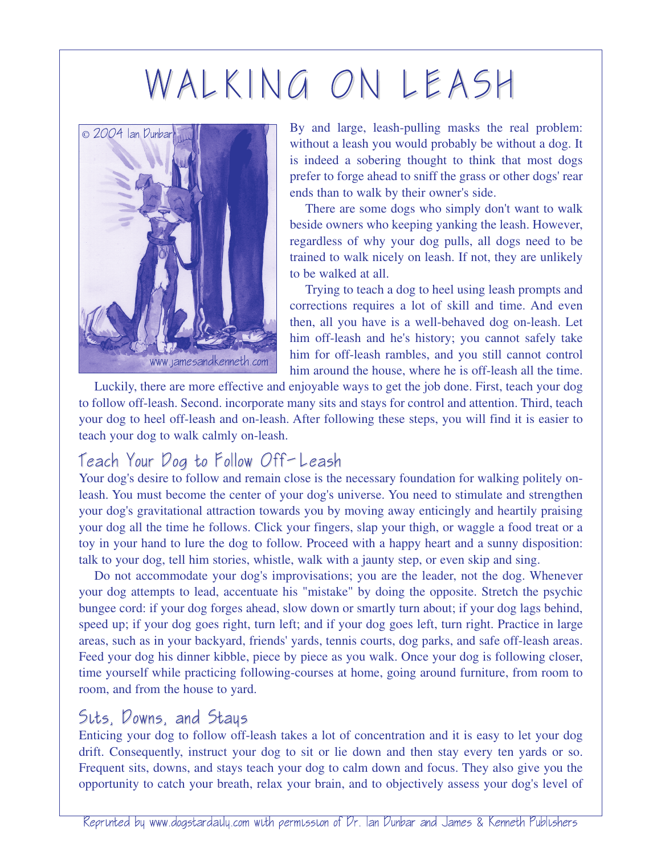# WALKING ON LEASH



By and large, leash-pulling masks the real problem: without a leash you would probably be without a dog. It is indeed a sobering thought to think that most dogs prefer to forge ahead to sniff the grass or other dogs' rear ends than to walk by their owner's side.

There are some dogs who simply don't want to walk beside owners who keeping yanking the leash. However, regardless of why your dog pulls, all dogs need to be trained to walk nicely on leash. If not, they are unlikely to be walked at all.

Trying to teach a dog to heel using leash prompts and corrections requires a lot of skill and time. And even then, all you have is a well-behaved dog on-leash. Let him off-leash and he's history; you cannot safely take him for off-leash rambles, and you still cannot control him around the house, where he is off-leash all the time.

Luckily, there are more effective and enjoyable ways to get the job done. First, teach your dog to follow off-leash. Second. incorporate many sits and stays for control and attention. Third, teach your dog to heel off-leash and on-leash. After following these steps, you will find it is easier to teach your dog to walk calmly on-leash.

## Teach Your Dog to Follow Off-Leash

Your dog's desire to follow and remain close is the necessary foundation for walking politely onleash. You must become the center of your dog's universe. You need to stimulate and strengthen your dog's gravitational attraction towards you by moving away enticingly and heartily praising your dog all the time he follows. Click your fingers, slap your thigh, or waggle a food treat or a toy in your hand to lure the dog to follow. Proceed with a happy heart and a sunny disposition: talk to your dog, tell him stories, whistle, walk with a jaunty step, or even skip and sing.

Do not accommodate your dog's improvisations; you are the leader, not the dog. Whenever your dog attempts to lead, accentuate his "mistake" by doing the opposite. Stretch the psychic bungee cord: if your dog forges ahead, slow down or smartly turn about; if your dog lags behind, speed up; if your dog goes right, turn left; and if your dog goes left, turn right. Practice in large areas, such as in your backyard, friends' yards, tennis courts, dog parks, and safe off-leash areas. Feed your dog his dinner kibble, piece by piece as you walk. Once your dog is following closer, time yourself while practicing following-courses at home, going around furniture, from room to room, and from the house to yard.

#### Sits, Downs, and Stays

Enticing your dog to follow off-leash takes a lot of concentration and it is easy to let your dog drift. Consequently, instruct your dog to sit or lie down and then stay every ten yards or so. Frequent sits, downs, and stays teach your dog to calm down and focus. They also give you the opportunity to catch your breath, relax your brain, and to objectively assess your dog's level of